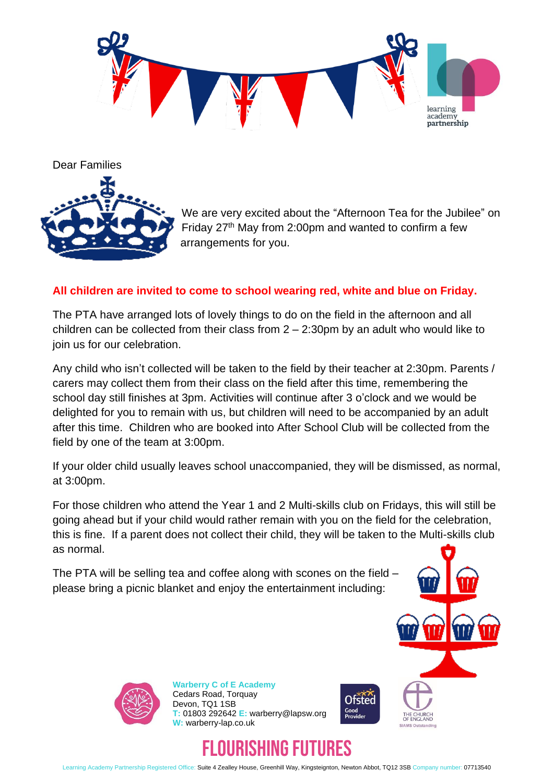

Dear Families



We are very excited about the "Afternoon Tea for the Jubilee" on Friday 27<sup>th</sup> May from 2:00pm and wanted to confirm a few arrangements for you.

## **All children are invited to come to school wearing red, white and blue on Friday.**

The PTA have arranged lots of lovely things to do on the field in the afternoon and all children can be collected from their class from  $2 - 2:30$ pm by an adult who would like to join us for our celebration.

Any child who isn't collected will be taken to the field by their teacher at 2:30pm. Parents / carers may collect them from their class on the field after this time, remembering the school day still finishes at 3pm. Activities will continue after 3 o'clock and we would be delighted for you to remain with us, but children will need to be accompanied by an adult after this time. Children who are booked into After School Club will be collected from the field by one of the team at 3:00pm.

If your older child usually leaves school unaccompanied, they will be dismissed, as normal, at 3:00pm.

For those children who attend the Year 1 and 2 Multi-skills club on Fridays, this will still be going ahead but if your child would rather remain with you on the field for the celebration, this is fine. If a parent does not collect their child, they will be taken to the Multi-skills club as normal.

The PTA will be selling tea and coffee along with scones on the field – please bring a picnic blanket and enjoy the entertainment including:





**Warberry C of E Academy** Cedars Road, Torquay Devon, TQ1 1SB **T:** 01803 292642 **E:** warberry@lapsw.org **W:** warberry-lap.co.uk





Learning Academy Partnership Registered Office: Suite 4 Zealley House, Greenhill Way, Kingsteignton, Newton Abbot, TQ12 3SB Company number: 07713540